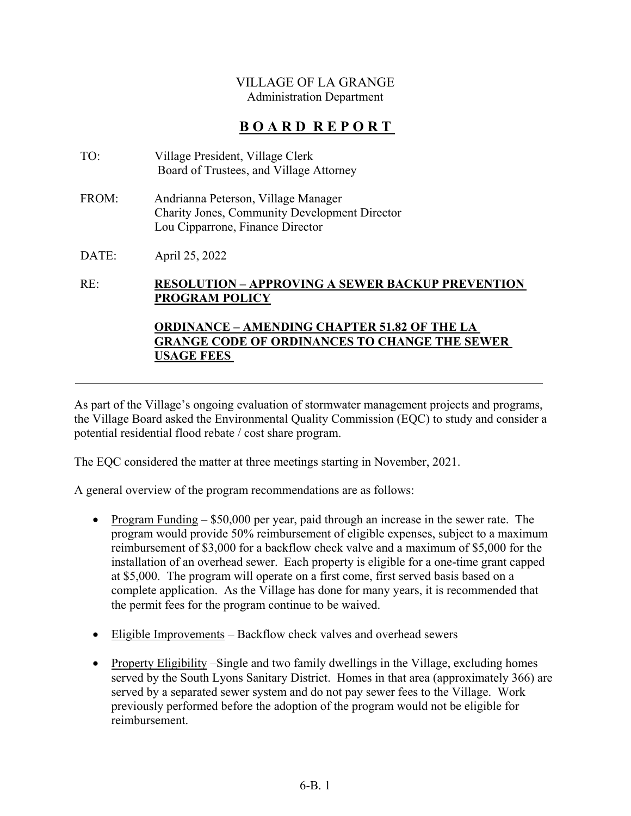## VILLAGE OF LA GRANGE Administration Department

# **B O A R D R E P O R T**

| TO: | Village President, Village Clerk        |
|-----|-----------------------------------------|
|     | Board of Trustees, and Village Attorney |

FROM: Andrianna Peterson, Village Manager Charity Jones, Community Development Director Lou Cipparrone, Finance Director

DATE: April 25, 2022

## RE: **RESOLUTION – APPROVING A SEWER BACKUP PREVENTION PROGRAM POLICY**

## **ORDINANCE – AMENDING CHAPTER 51.82 OF THE LA GRANGE CODE OF ORDINANCES TO CHANGE THE SEWER USAGE FEES**

As part of the Village's ongoing evaluation of stormwater management projects and programs, the Village Board asked the Environmental Quality Commission (EQC) to study and consider a potential residential flood rebate / cost share program.

The EQC considered the matter at three meetings starting in November, 2021.

A general overview of the program recommendations are as follows:

- Program Funding  $-$  \$50,000 per year, paid through an increase in the sewer rate. The program would provide 50% reimbursement of eligible expenses, subject to a maximum reimbursement of \$3,000 for a backflow check valve and a maximum of \$5,000 for the installation of an overhead sewer. Each property is eligible for a one-time grant capped at \$5,000. The program will operate on a first come, first served basis based on a complete application. As the Village has done for many years, it is recommended that the permit fees for the program continue to be waived.
- Eligible Improvements Backflow check valves and overhead sewers
- Property Eligibility –Single and two family dwellings in the Village, excluding homes served by the South Lyons Sanitary District. Homes in that area (approximately 366) are served by a separated sewer system and do not pay sewer fees to the Village. Work previously performed before the adoption of the program would not be eligible for reimbursement.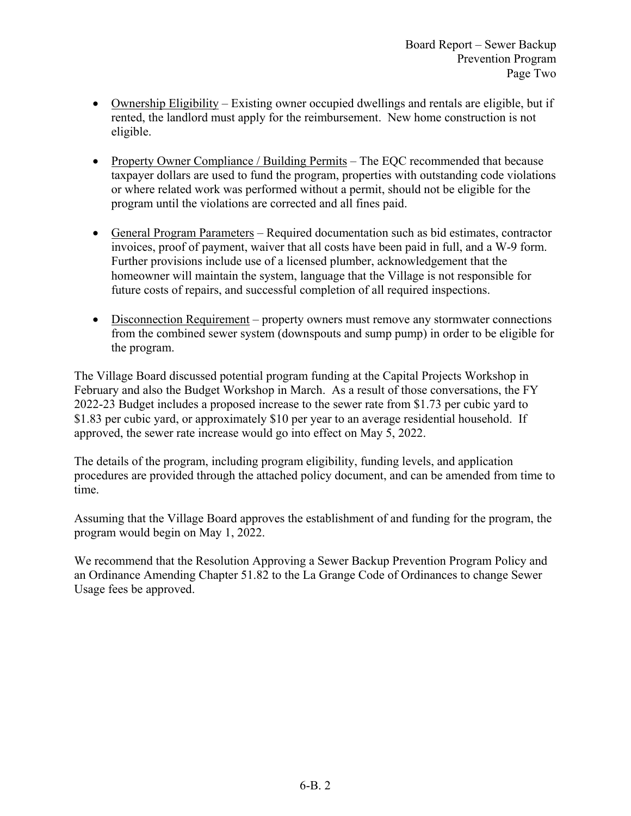- $\bullet$  Ownership Eligibility Existing owner occupied dwellings and rentals are eligible, but if rented, the landlord must apply for the reimbursement. New home construction is not eligible.
- Property Owner Compliance / Building Permits The EQC recommended that because taxpayer dollars are used to fund the program, properties with outstanding code violations or where related work was performed without a permit, should not be eligible for the program until the violations are corrected and all fines paid.
- General Program Parameters Required documentation such as bid estimates, contractor invoices, proof of payment, waiver that all costs have been paid in full, and a W-9 form. Further provisions include use of a licensed plumber, acknowledgement that the homeowner will maintain the system, language that the Village is not responsible for future costs of repairs, and successful completion of all required inspections.
- Disconnection Requirement property owners must remove any stormwater connections from the combined sewer system (downspouts and sump pump) in order to be eligible for the program.

The Village Board discussed potential program funding at the Capital Projects Workshop in February and also the Budget Workshop in March. As a result of those conversations, the FY 2022-23 Budget includes a proposed increase to the sewer rate from \$1.73 per cubic yard to \$1.83 per cubic yard, or approximately \$10 per year to an average residential household. If approved, the sewer rate increase would go into effect on May 5, 2022.

The details of the program, including program eligibility, funding levels, and application procedures are provided through the attached policy document, and can be amended from time to time.

Assuming that the Village Board approves the establishment of and funding for the program, the program would begin on May 1, 2022.

We recommend that the Resolution Approving a Sewer Backup Prevention Program Policy and an Ordinance Amending Chapter 51.82 to the La Grange Code of Ordinances to change Sewer Usage fees be approved.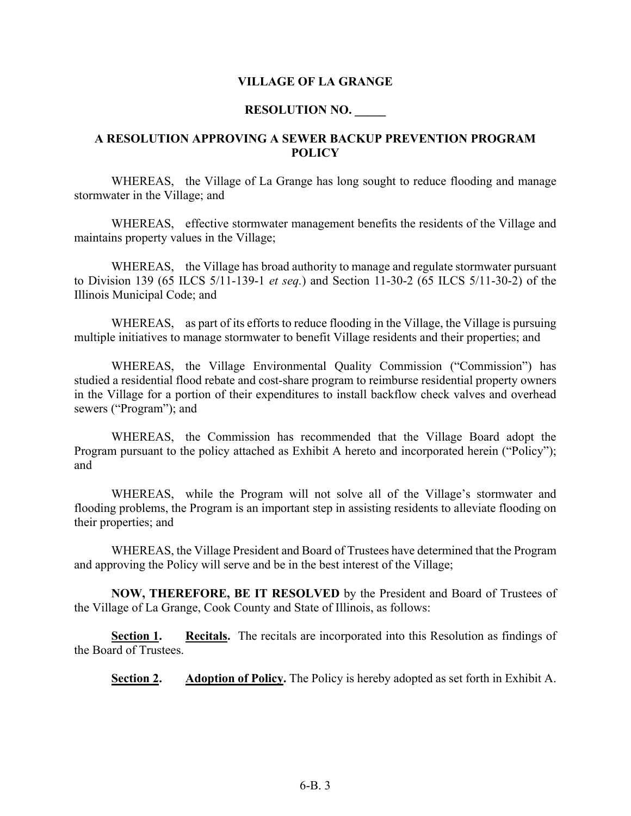#### **VILLAGE OF LA GRANGE**

#### **RESOLUTION NO. \_\_\_\_\_**

#### **A RESOLUTION APPROVING A SEWER BACKUP PREVENTION PROGRAM POLICY**

WHEREAS, the Village of La Grange has long sought to reduce flooding and manage stormwater in the Village; and

 WHEREAS, effective stormwater management benefits the residents of the Village and maintains property values in the Village;

 WHEREAS, the Village has broad authority to manage and regulate stormwater pursuant to Division 139 (65 ILCS 5/11-139-1 *et seq.*) and Section 11-30-2 (65 ILCS 5/11-30-2) of the Illinois Municipal Code; and

 WHEREAS, as part of its efforts to reduce flooding in the Village, the Village is pursuing multiple initiatives to manage stormwater to benefit Village residents and their properties; and

 WHEREAS, the Village Environmental Quality Commission ("Commission") has studied a residential flood rebate and cost-share program to reimburse residential property owners in the Village for a portion of their expenditures to install backflow check valves and overhead sewers ("Program"); and

 WHEREAS, the Commission has recommended that the Village Board adopt the Program pursuant to the policy attached as Exhibit A hereto and incorporated herein ("Policy"); and

 WHEREAS, while the Program will not solve all of the Village's stormwater and flooding problems, the Program is an important step in assisting residents to alleviate flooding on their properties; and

 WHEREAS, the Village President and Board of Trustees have determined that the Program and approving the Policy will serve and be in the best interest of the Village;

 **NOW, THEREFORE, BE IT RESOLVED** by the President and Board of Trustees of the Village of La Grange, Cook County and State of Illinois, as follows:

**Section 1. Recitals.** The recitals are incorporated into this Resolution as findings of the Board of Trustees.

**Section 2. Adoption of Policy.** The Policy is hereby adopted as set forth in Exhibit A.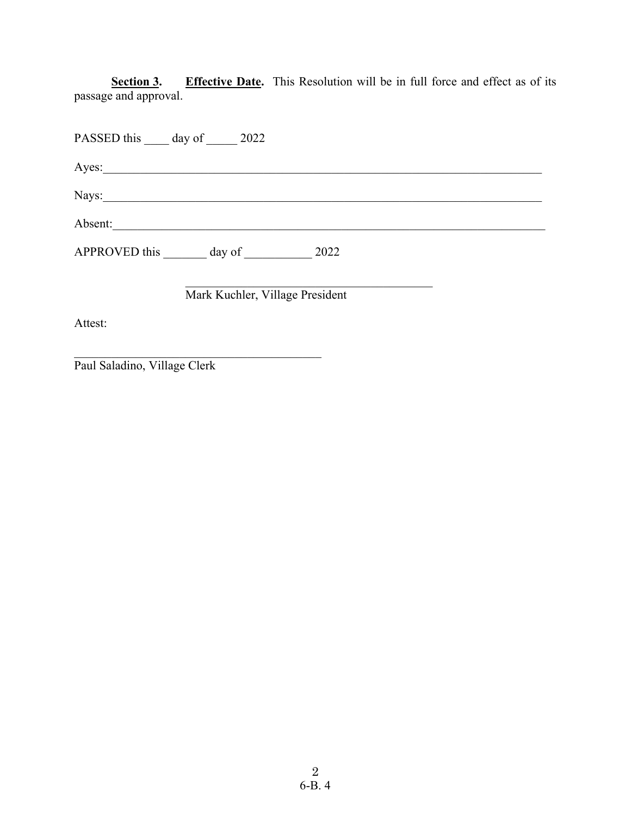**Effective Date.** This Resolution will be in full force and effect as of its Section 3.<br>passage and approval.

|         | PASSED this day of 2022                            |  |  |  |
|---------|----------------------------------------------------|--|--|--|
| Ayes:   | <u> 1980 - John Stein, Amerikaansk politiker (</u> |  |  |  |
|         | Nays:                                              |  |  |  |
| Absent: |                                                    |  |  |  |
|         | APPROVED this day of 2022                          |  |  |  |
|         | Mark Kuchler, Village President                    |  |  |  |
| Attest: |                                                    |  |  |  |

Paul Saladino, Village Clerk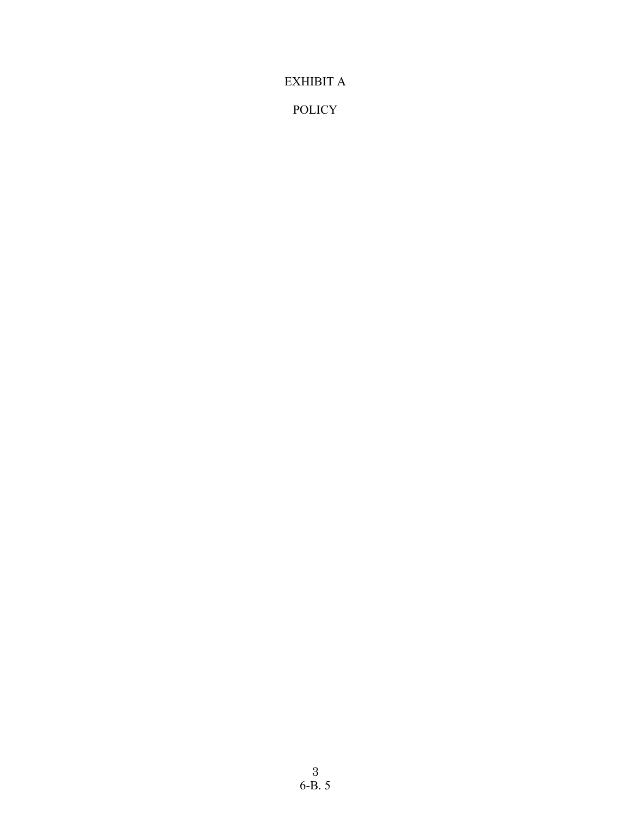EXHIBIT A

POLICY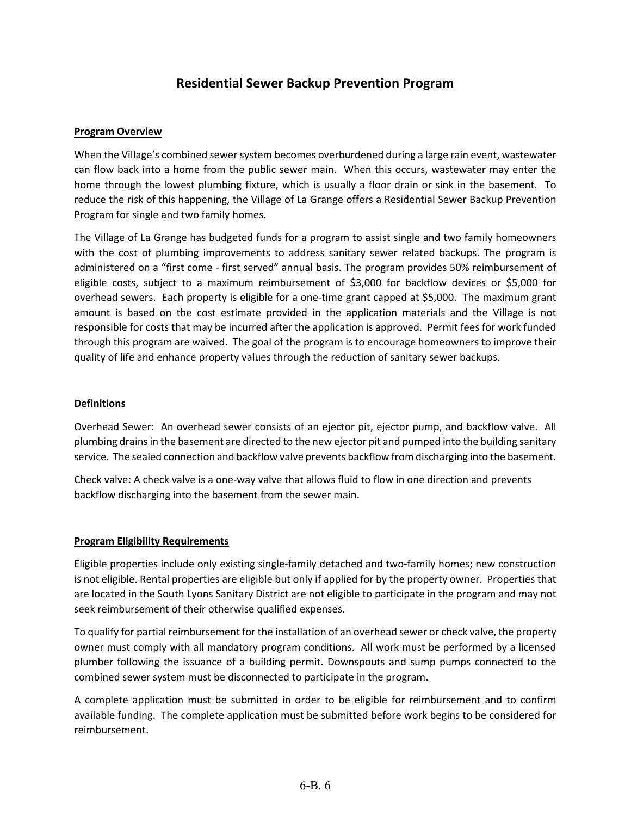## **Residential Sewer Backup Prevention Program**

#### **Program Overview**

When the Village's combined sewer system becomes overburdened during a large rain event, wastewater can flow back into a home from the public sewer main. When this occurs, wastewater may enter the home through the lowest plumbing fixture, which is usually a floor drain or sink in the basement. To reduce the risk of this happening, the Village of La Grange offers a Residential Sewer Backup Prevention Program for single and two family homes.

The Village of La Grange has budgeted funds for a program to assist single and two family homeowners with the cost of plumbing improvements to address sanitary sewer related backups. The program is administered on a "first come ‐ first served" annual basis. The program provides 50% reimbursement of eligible costs, subject to a maximum reimbursement of \$3,000 for backflow devices or \$5,000 for overhead sewers. Each property is eligible for a one‐time grant capped at \$5,000. The maximum grant amount is based on the cost estimate provided in the application materials and the Village is not responsible for costs that may be incurred after the application is approved. Permit fees for work funded through this program are waived. The goal of the program is to encourage homeowners to improve their quality of life and enhance property values through the reduction of sanitary sewer backups.

#### **Definitions**

Overhead Sewer: An overhead sewer consists of an ejector pit, ejector pump, and backflow valve. All plumbing drainsin the basement are directed to the new ejector pit and pumped into the building sanitary service. The sealed connection and backflow valve prevents backflow from discharging into the basement.

Check valve: A check valve is a one‐way valve that allows fluid to flow in one direction and prevents backflow discharging into the basement from the sewer main.

#### **Program Eligibility Requirements**

Eligible properties include only existing single‐family detached and two‐family homes; new construction is not eligible. Rental properties are eligible but only if applied for by the property owner. Properties that are located in the South Lyons Sanitary District are not eligible to participate in the program and may not seek reimbursement of their otherwise qualified expenses.

To qualify for partial reimbursement for the installation of an overhead sewer or check valve, the property owner must comply with all mandatory program conditions. All work must be performed by a licensed plumber following the issuance of a building permit. Downspouts and sump pumps connected to the combined sewer system must be disconnected to participate in the program.

A complete application must be submitted in order to be eligible for reimbursement and to confirm available funding. The complete application must be submitted before work begins to be considered for reimbursement.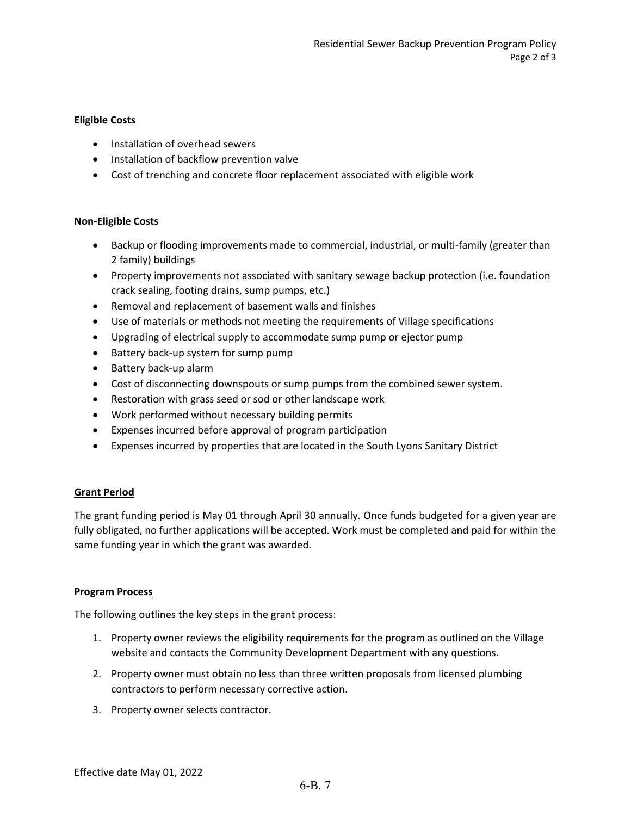#### **Eligible Costs**

- Installation of overhead sewers
- Installation of backflow prevention valve
- Cost of trenching and concrete floor replacement associated with eligible work

#### **Non‐Eligible Costs**

- Backup or flooding improvements made to commercial, industrial, or multi-family (greater than 2 family) buildings
- Property improvements not associated with sanitary sewage backup protection (i.e. foundation crack sealing, footing drains, sump pumps, etc.)
- Removal and replacement of basement walls and finishes
- Use of materials or methods not meeting the requirements of Village specifications
- Upgrading of electrical supply to accommodate sump pump or ejector pump
- Battery back-up system for sump pump
- Battery back-up alarm
- Cost of disconnecting downspouts or sump pumps from the combined sewer system.
- Restoration with grass seed or sod or other landscape work
- Work performed without necessary building permits
- Expenses incurred before approval of program participation
- Expenses incurred by properties that are located in the South Lyons Sanitary District

#### **Grant Period**

The grant funding period is May 01 through April 30 annually. Once funds budgeted for a given year are fully obligated, no further applications will be accepted. Work must be completed and paid for within the same funding year in which the grant was awarded.

#### **Program Process**

The following outlines the key steps in the grant process:

- 1. Property owner reviews the eligibility requirements for the program as outlined on the Village website and contacts the Community Development Department with any questions.
- 2. Property owner must obtain no less than three written proposals from licensed plumbing contractors to perform necessary corrective action.
- 3. Property owner selects contractor.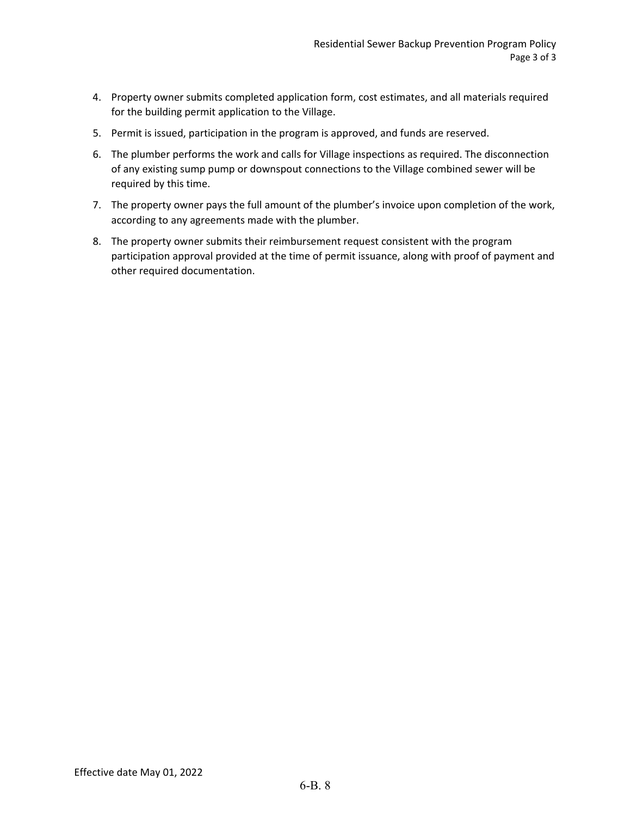- 4. Property owner submits completed application form, cost estimates, and all materials required for the building permit application to the Village.
- 5. Permit is issued, participation in the program is approved, and funds are reserved.
- 6. The plumber performs the work and calls for Village inspections as required. The disconnection of any existing sump pump or downspout connections to the Village combined sewer will be required by this time.
- 7. The property owner pays the full amount of the plumber's invoice upon completion of the work, according to any agreements made with the plumber.
- 8. The property owner submits their reimbursement request consistent with the program participation approval provided at the time of permit issuance, along with proof of payment and other required documentation.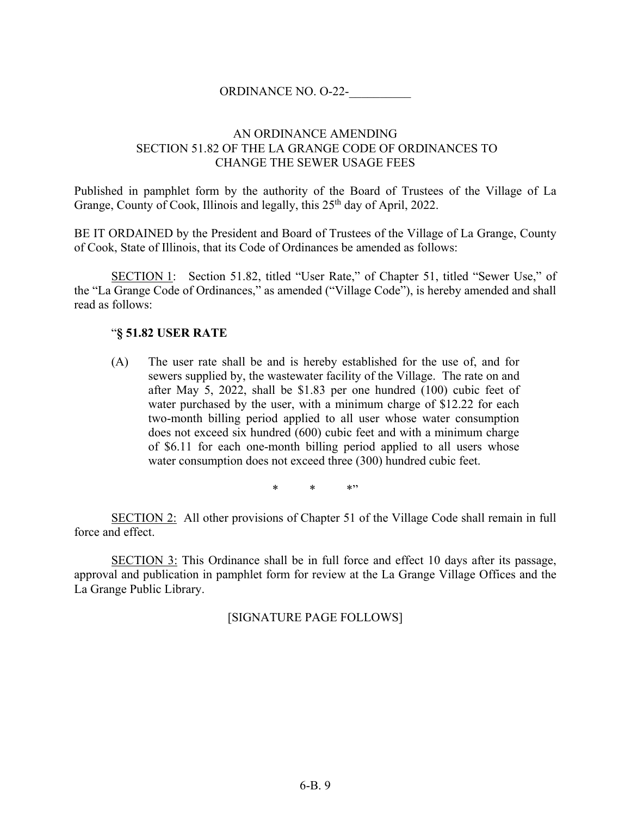## ORDINANCE NO. O-22-\_\_\_\_\_\_\_\_\_\_

## AN ORDINANCE AMENDING SECTION 51.82 OF THE LA GRANGE CODE OF ORDINANCES TO CHANGE THE SEWER USAGE FEES

Published in pamphlet form by the authority of the Board of Trustees of the Village of La Grange, County of Cook, Illinois and legally, this 25<sup>th</sup> day of April, 2022.

BE IT ORDAINED by the President and Board of Trustees of the Village of La Grange, County of Cook, State of Illinois, that its Code of Ordinances be amended as follows:

SECTION 1: Section 51.82, titled "User Rate," of Chapter 51, titled "Sewer Use," of the "La Grange Code of Ordinances," as amended ("Village Code"), is hereby amended and shall read as follows:

### "**§ 51.82 USER RATE**

(A) The user rate shall be and is hereby established for the use of, and for sewers supplied by, the wastewater facility of the Village. The rate on and after May 5, 2022, shall be \$1.83 per one hundred (100) cubic feet of water purchased by the user, with a minimum charge of \$12.22 for each two-month billing period applied to all user whose water consumption does not exceed six hundred (600) cubic feet and with a minimum charge of \$6.11 for each one-month billing period applied to all users whose water consumption does not exceed three (300) hundred cubic feet.

\* \* \*"

SECTION 2: All other provisions of Chapter 51 of the Village Code shall remain in full force and effect.

SECTION 3: This Ordinance shall be in full force and effect 10 days after its passage, approval and publication in pamphlet form for review at the La Grange Village Offices and the La Grange Public Library.

[SIGNATURE PAGE FOLLOWS]